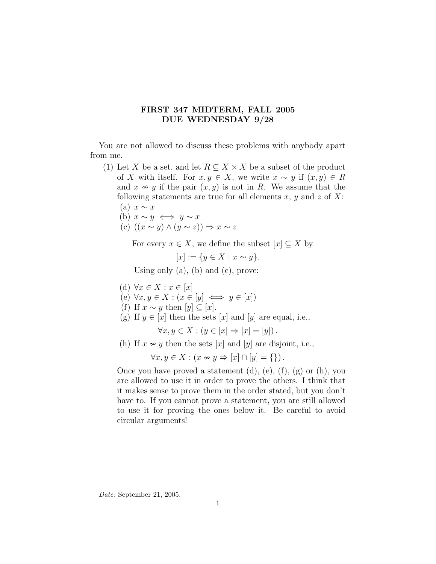## FIRST 347 MIDTERM, FALL 2005 DUE WEDNESDAY 9/28

You are not allowed to discuss these problems with anybody apart from me.

- (1) Let X be a set, and let  $R \subseteq X \times X$  be a subset of the product of X with itself. For  $x, y \in X$ , we write  $x \sim y$  if  $(x, y) \in R$ and  $x \nsim y$  if the pair  $(x, y)$  is not in R. We assume that the following statements are true for all elements x, y and z of X: (a)  $x \sim x$ 
	- (b)  $x \sim y \iff y \sim x$

(c) 
$$
((x \sim y) \land (y \sim z)) \Rightarrow x \sim z
$$

For every  $x \in X$ , we define the subset  $[x] \subseteq X$  by

$$
[x] := \{ y \in X \mid x \sim y \}.
$$

Using only  $(a)$ ,  $(b)$  and  $(c)$ , prove:

- (d)  $\forall x \in X : x \in [x]$
- (e)  $\forall x, y \in X : (x \in [y] \iff y \in [x])$
- (f) If  $x \sim y$  then  $[y] \subseteq [x]$ .
- (g) If  $y \in [x]$  then the sets  $[x]$  and  $[y]$  are equal, i.e.,

$$
\forall x, y \in X : (y \in [x] \Rightarrow [x] = [y]).
$$

(h) If  $x \nsim y$  then the sets [x] and [y] are disjoint, i.e.,

 $\forall x, y \in X : (x \nsim y \Rightarrow [x] \cap [y] = \{\})$ .

Once you have proved a statement  $(d)$ ,  $(e)$ ,  $(f)$ ,  $(g)$  or  $(h)$ , you are allowed to use it in order to prove the others. I think that it makes sense to prove them in the order stated, but you don't have to. If you cannot prove a statement, you are still allowed to use it for proving the ones below it. Be careful to avoid circular arguments!

Date: September 21, 2005.